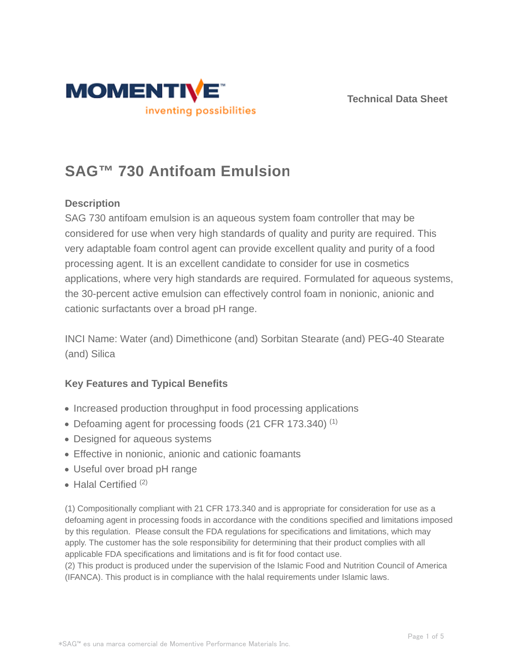



# **SAG™ 730 Antifoam Emulsion**

# **Description**

SAG 730 antifoam emulsion is an aqueous system foam controller that may be considered for use when very high standards of quality and purity are required. This very adaptable foam control agent can provide excellent quality and purity of a food processing agent. It is an excellent candidate to consider for use in cosmetics applications, where very high standards are required. Formulated for aqueous systems, the 30-percent active emulsion can effectively control foam in nonionic, anionic and cationic surfactants over a broad pH range.

INCI Name: Water (and) Dimethicone (and) Sorbitan Stearate (and) PEG-40 Stearate (and) Silica

# **Key Features and Typical Benefits**

- Increased production throughput in food processing applications
- Defoaming agent for processing foods (21 CFR 173.340)<sup>(1)</sup>
- Designed for aqueous systems
- Effective in nonionic, anionic and cationic foamants
- Useful over broad pH range
- $\bullet$  Halal Certified  $(2)$

(1) Compositionally compliant with 21 CFR 173.340 and is appropriate for consideration for use as a defoaming agent in processing foods in accordance with the conditions specified and limitations imposed by this regulation. Please consult the FDA regulations for specifications and limitations, which may apply. The customer has the sole responsibility for determining that their product complies with all applicable FDA specifications and limitations and is fit for food contact use.

(2) This product is produced under the supervision of the Islamic Food and Nutrition Council of America (IFANCA). This product is in compliance with the halal requirements under Islamic laws.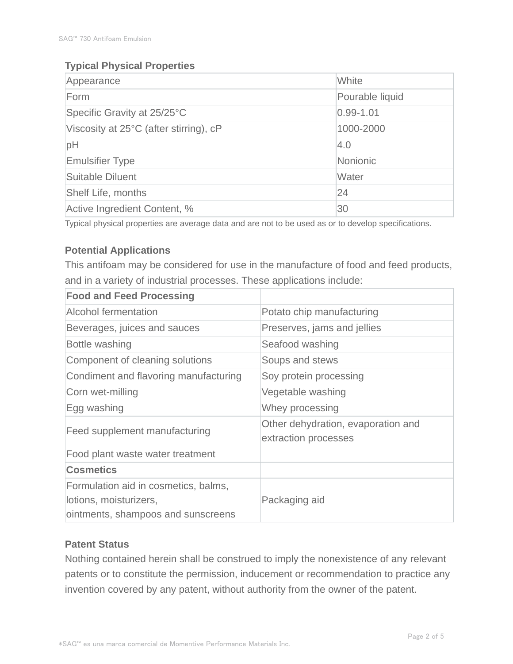# **Typical Physical Properties**

| Appearance                             | White           |  |
|----------------------------------------|-----------------|--|
| Form                                   | Pourable liquid |  |
| Specific Gravity at 25/25°C            | $0.99 - 1.01$   |  |
| Viscosity at 25°C (after stirring), cP | 1000-2000       |  |
| pH                                     | 4.0             |  |
| <b>Emulsifier Type</b>                 | Nonionic        |  |
| Suitable Diluent                       | Water           |  |
| <b>Shelf Life, months</b>              | 24              |  |
| Active Ingredient Content, %           | 30              |  |

Typical physical properties are average data and are not to be used as or to develop specifications.

# **Potential Applications**

This antifoam may be considered for use in the manufacture of food and feed products, and in a variety of industrial processes. These applications include:

| <b>Food and Feed Processing</b>                                                                      |                                                            |  |
|------------------------------------------------------------------------------------------------------|------------------------------------------------------------|--|
| <b>Alcohol fermentation</b>                                                                          | Potato chip manufacturing                                  |  |
| Beverages, juices and sauces                                                                         | Preserves, jams and jellies                                |  |
| Bottle washing                                                                                       | Seafood washing                                            |  |
| Component of cleaning solutions                                                                      | Soups and stews                                            |  |
| Condiment and flavoring manufacturing                                                                | Soy protein processing                                     |  |
| Corn wet-milling                                                                                     | Vegetable washing                                          |  |
| Egg washing                                                                                          | Whey processing                                            |  |
| Feed supplement manufacturing                                                                        | Other dehydration, evaporation and<br>extraction processes |  |
| Food plant waste water treatment                                                                     |                                                            |  |
| <b>Cosmetics</b>                                                                                     |                                                            |  |
| Formulation aid in cosmetics, balms,<br>lotions, moisturizers,<br>ointments, shampoos and sunscreens | Packaging aid                                              |  |

# **Patent Status**

Nothing contained herein shall be construed to imply the nonexistence of any relevant patents or to constitute the permission, inducement or recommendation to practice any invention covered by any patent, without authority from the owner of the patent.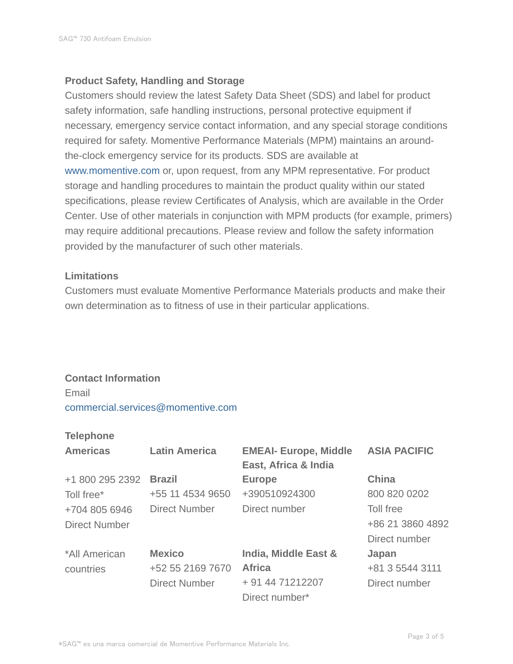#### **Product Safety, Handling and Storage**

Customers should review the latest Safety Data Sheet (SDS) and label for product safety information, safe handling instructions, personal protective equipment if necessary, emergency service contact information, and any special storage conditions required for safety. Momentive Performance Materials (MPM) maintains an aroundthe-clock emergency service for its products. SDS are available at www.momentive.com or, upon request, from any MPM representative. For product storage and handling procedures to maintain the product quality within our stated specifications, please review Certificates of Analysis, which are available in the Order Center. Use of other materials in conjunction with MPM products (for example, primers) may require additional precautions. Please review and follow the safety information provided by the manufacturer of such other materials.

#### **Limitations**

Customers must evaluate Momentive Performance Materials products and make their own determination as to fitness of use in their particular applications.

# **Contact Information**

Email commercial.services@momentive.com

#### **Telephone**

| <b>Americas</b>      | <b>Latin America</b> | <b>EMEAI- Europe, Middle</b><br>East, Africa & India | <b>ASIA PACIFIC</b> |
|----------------------|----------------------|------------------------------------------------------|---------------------|
| +1 800 295 2392      | <b>Brazil</b>        | <b>Europe</b>                                        | <b>China</b>        |
| Toll free*           | +55 11 4534 9650     | +390510924300                                        | 800 820 0202        |
| +704 805 6946        | <b>Direct Number</b> | Direct number                                        | Toll free           |
| <b>Direct Number</b> |                      |                                                      | +86 21 3860 4892    |
|                      |                      |                                                      | Direct number       |
| *All American        | <b>Mexico</b>        | India, Middle East &                                 | Japan               |
| countries            | +52 55 2169 7670     | <b>Africa</b>                                        | +81 3 5544 3111     |
|                      | <b>Direct Number</b> | + 91 44 71212207                                     | Direct number       |
|                      |                      | Direct number*                                       |                     |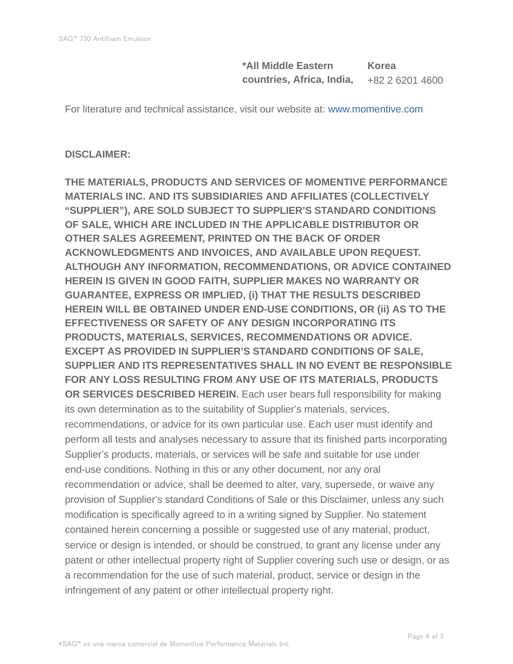**\*All Middle Eastern countries, Africa, India, Korea** +82 2 6201 4600

For literature and technical assistance, visit our website at: www.momentive.com

# **DISCLAIMER:**

**THE MATERIALS, PRODUCTS AND SERVICES OF MOMENTIVE PERFORMANCE MATERIALS INC. AND ITS SUBSIDIARIES AND AFFILIATES (COLLECTIVELY "SUPPLIER"), ARE SOLD SUBJECT TO SUPPLIER'S STANDARD CONDITIONS OF SALE, WHICH ARE INCLUDED IN THE APPLICABLE DISTRIBUTOR OR OTHER SALES AGREEMENT, PRINTED ON THE BACK OF ORDER ACKNOWLEDGMENTS AND INVOICES, AND AVAILABLE UPON REQUEST. ALTHOUGH ANY INFORMATION, RECOMMENDATIONS, OR ADVICE CONTAINED HEREIN IS GIVEN IN GOOD FAITH, SUPPLIER MAKES NO WARRANTY OR GUARANTEE, EXPRESS OR IMPLIED, (i) THAT THE RESULTS DESCRIBED HEREIN WILL BE OBTAINED UNDER END-USE CONDITIONS, OR (ii) AS TO THE EFFECTIVENESS OR SAFETY OF ANY DESIGN INCORPORATING ITS PRODUCTS, MATERIALS, SERVICES, RECOMMENDATIONS OR ADVICE. EXCEPT AS PROVIDED IN SUPPLIER'S STANDARD CONDITIONS OF SALE, SUPPLIER AND ITS REPRESENTATIVES SHALL IN NO EVENT BE RESPONSIBLE FOR ANY LOSS RESULTING FROM ANY USE OF ITS MATERIALS, PRODUCTS OR SERVICES DESCRIBED HEREIN.** Each user bears full responsibility for making its own determination as to the suitability of Supplier's materials, services, recommendations, or advice for its own particular use. Each user must identify and perform all tests and analyses necessary to assure that its finished parts incorporating Supplier's products, materials, or services will be safe and suitable for use under end-use conditions. Nothing in this or any other document, nor any oral recommendation or advice, shall be deemed to alter, vary, supersede, or waive any provision of Supplier's standard Conditions of Sale or this Disclaimer, unless any such modification is specifically agreed to in a writing signed by Supplier. No statement contained herein concerning a possible or suggested use of any material, product, service or design is intended, or should be construed, to grant any license under any patent or other intellectual property right of Supplier covering such use or design, or as a recommendation for the use of such material, product, service or design in the infringement of any patent or other intellectual property right.